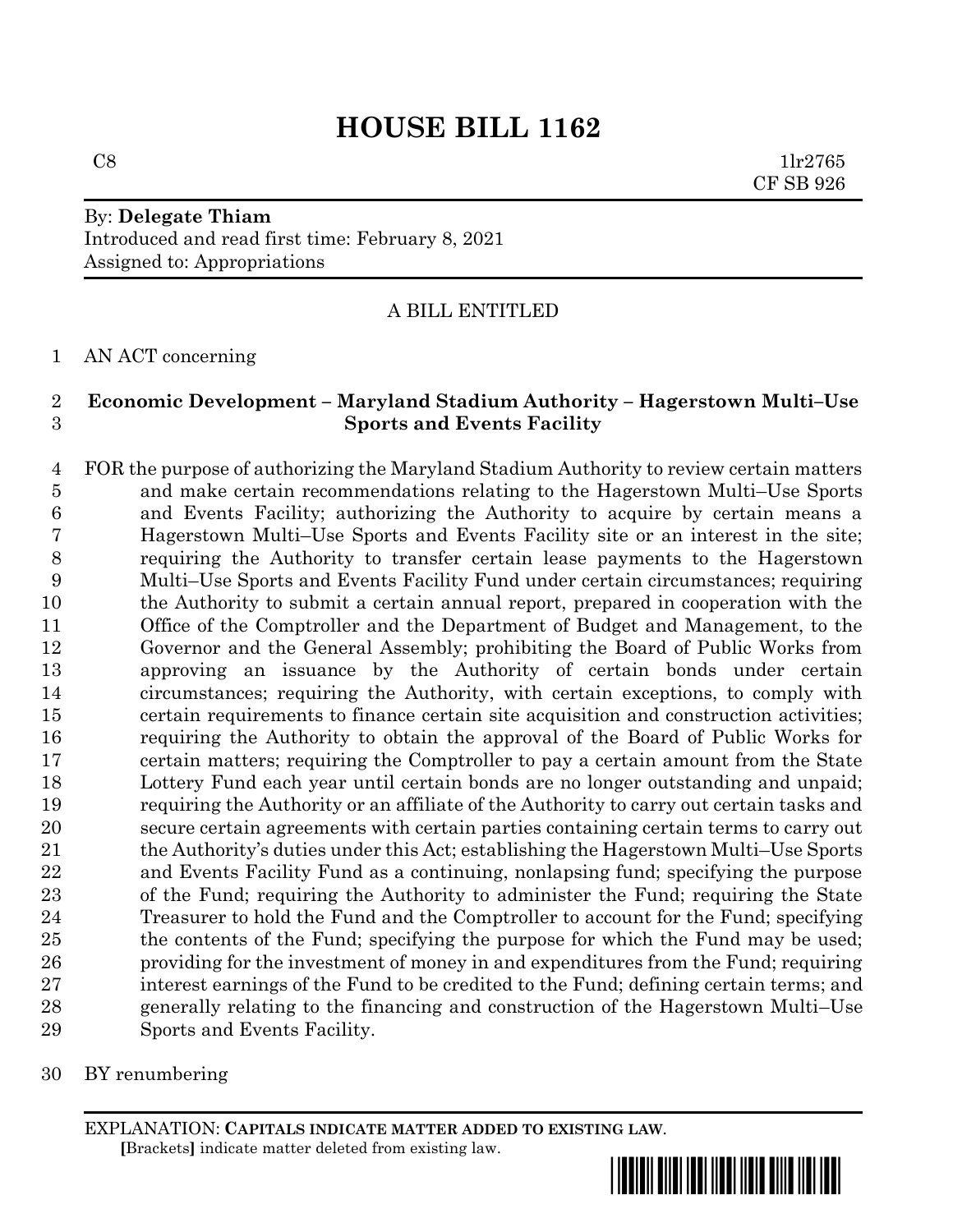# **HOUSE BILL 1162**

 $C8$  1lr2765 CF SB 926

# By: **Delegate Thiam** Introduced and read first time: February 8, 2021 Assigned to: Appropriations

### A BILL ENTITLED

AN ACT concerning

### **Economic Development – Maryland Stadium Authority – Hagerstown Multi–Use Sports and Events Facility**

 FOR the purpose of authorizing the Maryland Stadium Authority to review certain matters and make certain recommendations relating to the Hagerstown Multi–Use Sports and Events Facility; authorizing the Authority to acquire by certain means a Hagerstown Multi–Use Sports and Events Facility site or an interest in the site; requiring the Authority to transfer certain lease payments to the Hagerstown Multi–Use Sports and Events Facility Fund under certain circumstances; requiring the Authority to submit a certain annual report, prepared in cooperation with the Office of the Comptroller and the Department of Budget and Management, to the Governor and the General Assembly; prohibiting the Board of Public Works from approving an issuance by the Authority of certain bonds under certain circumstances; requiring the Authority, with certain exceptions, to comply with certain requirements to finance certain site acquisition and construction activities; requiring the Authority to obtain the approval of the Board of Public Works for certain matters; requiring the Comptroller to pay a certain amount from the State Lottery Fund each year until certain bonds are no longer outstanding and unpaid; requiring the Authority or an affiliate of the Authority to carry out certain tasks and secure certain agreements with certain parties containing certain terms to carry out the Authority's duties under this Act; establishing the Hagerstown Multi–Use Sports and Events Facility Fund as a continuing, nonlapsing fund; specifying the purpose of the Fund; requiring the Authority to administer the Fund; requiring the State Treasurer to hold the Fund and the Comptroller to account for the Fund; specifying the contents of the Fund; specifying the purpose for which the Fund may be used; providing for the investment of money in and expenditures from the Fund; requiring interest earnings of the Fund to be credited to the Fund; defining certain terms; and generally relating to the financing and construction of the Hagerstown Multi–Use Sports and Events Facility.

BY renumbering

EXPLANATION: **CAPITALS INDICATE MATTER ADDED TO EXISTING LAW**.  **[**Brackets**]** indicate matter deleted from existing law.

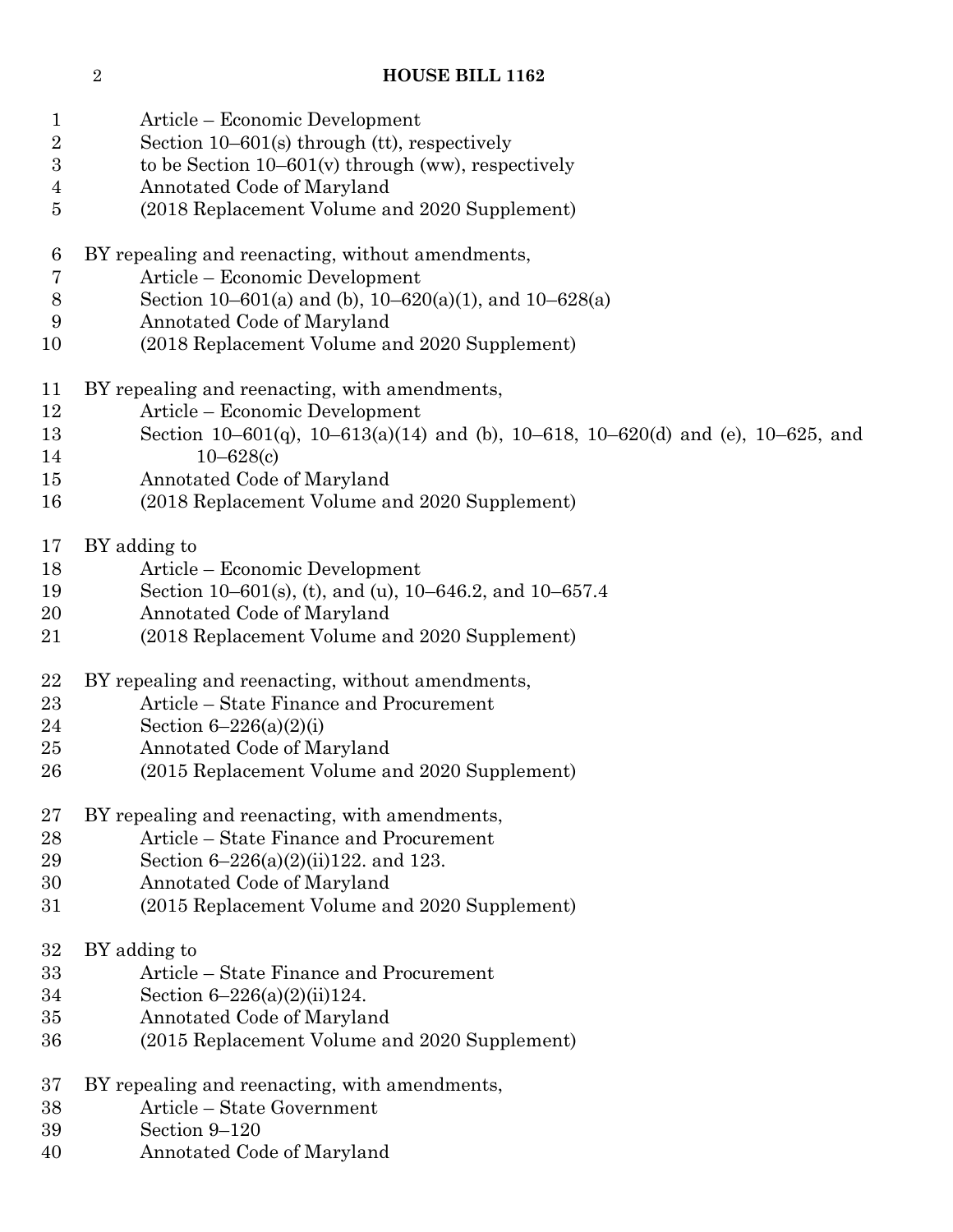# **HOUSE BILL 1162**

| $\mathbf{1}$     | Article – Economic Development                                                                    |
|------------------|---------------------------------------------------------------------------------------------------|
| $\sqrt{2}$       | Section $10-601(s)$ through (tt), respectively                                                    |
| $\sqrt{3}$       | to be Section $10-601(v)$ through (ww), respectively                                              |
| $\overline{4}$   | Annotated Code of Maryland                                                                        |
| $\overline{5}$   | (2018 Replacement Volume and 2020 Supplement)                                                     |
| $\boldsymbol{6}$ | BY repealing and reenacting, without amendments,                                                  |
| 7                | Article – Economic Development                                                                    |
| $8\,$            | Section 10–601(a) and (b), 10–620(a)(1), and 10–628(a)                                            |
| 9                | Annotated Code of Maryland                                                                        |
| 10               | (2018 Replacement Volume and 2020 Supplement)                                                     |
| 11               | BY repealing and reenacting, with amendments,                                                     |
| 12               | Article – Economic Development                                                                    |
| 13<br>14         | Section 10–601(q), 10–613(a)(14) and (b), 10–618, 10–620(d) and (e), 10–625, and<br>$10 - 628(c)$ |
| 15               | Annotated Code of Maryland                                                                        |
| 16               | (2018 Replacement Volume and 2020 Supplement)                                                     |
|                  |                                                                                                   |
| 17               | BY adding to                                                                                      |
| 18               | Article – Economic Development                                                                    |
| 19               | Section 10–601(s), (t), and (u), $10-646.2$ , and $10-657.4$                                      |
| 20               | Annotated Code of Maryland                                                                        |
| 21               | (2018 Replacement Volume and 2020 Supplement)                                                     |
| 22               | BY repealing and reenacting, without amendments,                                                  |
| 23               | Article – State Finance and Procurement                                                           |
| 24               | Section $6 - 226(a)(2)(i)$                                                                        |
| 25               | Annotated Code of Maryland                                                                        |
| 26               | (2015 Replacement Volume and 2020 Supplement)                                                     |
| 27               | BY repealing and reenacting, with amendments,                                                     |
| 28               | Article – State Finance and Procurement                                                           |
| 29               | Section $6-226(a)(2)(ii)122$ . and 123.                                                           |
| 30               | Annotated Code of Maryland                                                                        |
| 31               | (2015 Replacement Volume and 2020 Supplement)                                                     |
| 32               | BY adding to                                                                                      |
| 33               | Article – State Finance and Procurement                                                           |
| 34               | Section $6-226(a)(2)(ii)124$ .                                                                    |
| 35               | Annotated Code of Maryland                                                                        |
| 36               | (2015 Replacement Volume and 2020 Supplement)                                                     |
| 37               | BY repealing and reenacting, with amendments,                                                     |
| 38               | Article – State Government                                                                        |
| 39               | Section 9-120                                                                                     |
| 40               | Annotated Code of Maryland                                                                        |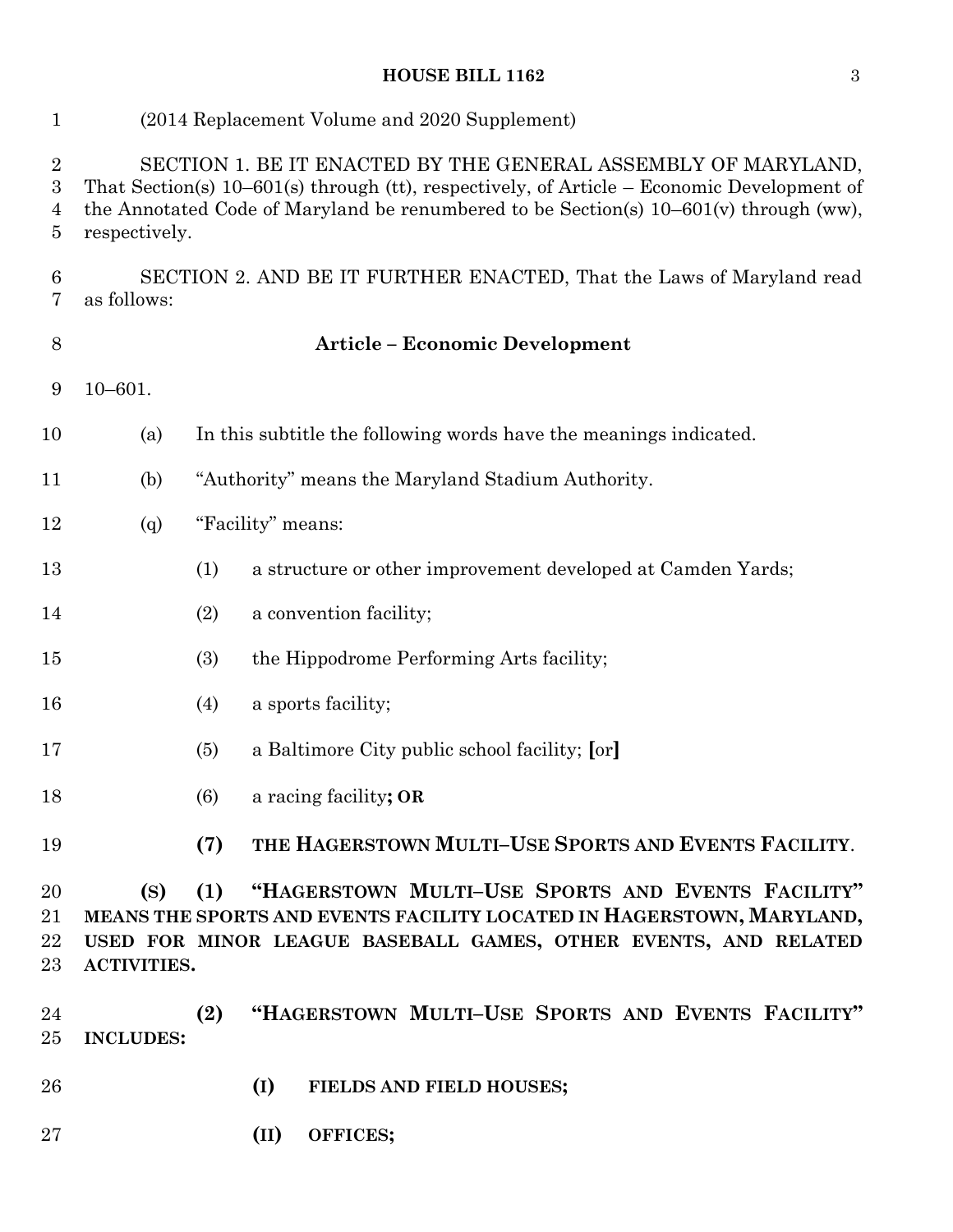# **HOUSE BILL 1162** 3

| $\mathbf{1}$                                 | (2014 Replacement Volume and 2020 Supplement)                                                                                                                                                                                                                              |                                                                                                                                                                                                      |  |  |  |  |  |  |
|----------------------------------------------|----------------------------------------------------------------------------------------------------------------------------------------------------------------------------------------------------------------------------------------------------------------------------|------------------------------------------------------------------------------------------------------------------------------------------------------------------------------------------------------|--|--|--|--|--|--|
| $\overline{2}$<br>$\boldsymbol{3}$<br>4<br>5 | SECTION 1. BE IT ENACTED BY THE GENERAL ASSEMBLY OF MARYLAND,<br>That Section(s) $10-601$ (s) through (tt), respectively, of Article – Economic Development of<br>the Annotated Code of Maryland be renumbered to be Section(s) $10-601(v)$ through (ww),<br>respectively. |                                                                                                                                                                                                      |  |  |  |  |  |  |
| 6<br>7                                       | SECTION 2. AND BE IT FURTHER ENACTED, That the Laws of Maryland read<br>as follows:                                                                                                                                                                                        |                                                                                                                                                                                                      |  |  |  |  |  |  |
| $8\,$                                        | <b>Article - Economic Development</b>                                                                                                                                                                                                                                      |                                                                                                                                                                                                      |  |  |  |  |  |  |
| 9                                            | $10 - 601.$                                                                                                                                                                                                                                                                |                                                                                                                                                                                                      |  |  |  |  |  |  |
| 10                                           | In this subtitle the following words have the meanings indicated.<br>(a)                                                                                                                                                                                                   |                                                                                                                                                                                                      |  |  |  |  |  |  |
| 11                                           | "Authority" means the Maryland Stadium Authority.<br>(b)                                                                                                                                                                                                                   |                                                                                                                                                                                                      |  |  |  |  |  |  |
| 12                                           | "Facility" means:<br>(q)                                                                                                                                                                                                                                                   |                                                                                                                                                                                                      |  |  |  |  |  |  |
| 13                                           |                                                                                                                                                                                                                                                                            | (1)<br>a structure or other improvement developed at Camden Yards;                                                                                                                                   |  |  |  |  |  |  |
| 14                                           |                                                                                                                                                                                                                                                                            | a convention facility;<br>(2)                                                                                                                                                                        |  |  |  |  |  |  |
| 15                                           |                                                                                                                                                                                                                                                                            | (3)<br>the Hippodrome Performing Arts facility;                                                                                                                                                      |  |  |  |  |  |  |
| 16                                           |                                                                                                                                                                                                                                                                            | a sports facility;<br>(4)                                                                                                                                                                            |  |  |  |  |  |  |
| 17                                           |                                                                                                                                                                                                                                                                            | a Baltimore City public school facility; [or]<br>(5)                                                                                                                                                 |  |  |  |  |  |  |
| 18                                           |                                                                                                                                                                                                                                                                            | (6)<br>a racing facility; OR                                                                                                                                                                         |  |  |  |  |  |  |
| 19                                           |                                                                                                                                                                                                                                                                            | THE HAGERSTOWN MULTI-USE SPORTS AND EVENTS FACILITY.<br>(7)                                                                                                                                          |  |  |  |  |  |  |
| 20<br>21<br>22<br>23                         | (S)<br><b>ACTIVITIES.</b>                                                                                                                                                                                                                                                  | "HAGERSTOWN MULTI-USE SPORTS AND EVENTS FACILITY"<br>(1)<br>MEANS THE SPORTS AND EVENTS FACILITY LOCATED IN HAGERSTOWN, MARYLAND,<br>USED FOR MINOR LEAGUE BASEBALL GAMES, OTHER EVENTS, AND RELATED |  |  |  |  |  |  |
| 24<br>25                                     | <b>INCLUDES:</b>                                                                                                                                                                                                                                                           | "HAGERSTOWN MULTI-USE SPORTS AND EVENTS FACILITY"<br>(2)                                                                                                                                             |  |  |  |  |  |  |
| 26                                           |                                                                                                                                                                                                                                                                            | (I)<br>FIELDS AND FIELD HOUSES;                                                                                                                                                                      |  |  |  |  |  |  |
| 27                                           |                                                                                                                                                                                                                                                                            | (II)<br>OFFICES;                                                                                                                                                                                     |  |  |  |  |  |  |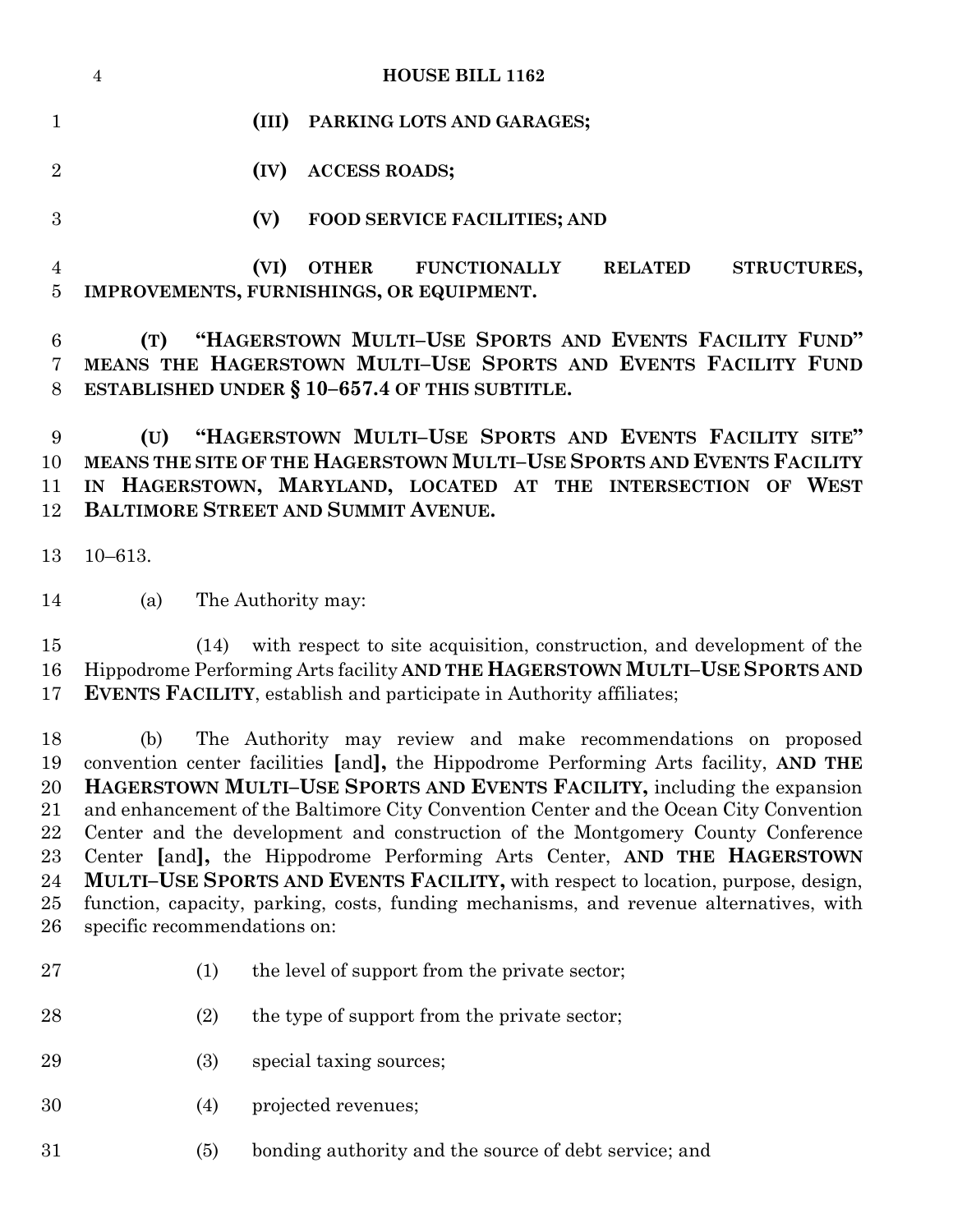|                     | <b>HOUSE BILL 1162</b><br>$\overline{4}$                                                                                                                                                                                                                    |
|---------------------|-------------------------------------------------------------------------------------------------------------------------------------------------------------------------------------------------------------------------------------------------------------|
|                     | (III)<br>PARKING LOTS AND GARAGES;                                                                                                                                                                                                                          |
| $\overline{2}$      | <b>ACCESS ROADS;</b><br>(IV)                                                                                                                                                                                                                                |
| 3                   | (V)<br><b>FOOD SERVICE FACILITIES; AND</b>                                                                                                                                                                                                                  |
| $\overline{4}$<br>5 | (VI)<br>OTHER FUNCTIONALLY<br><b>RELATED</b><br>STRUCTURES,<br>IMPROVEMENTS, FURNISHINGS, OR EQUIPMENT.                                                                                                                                                     |
| 6<br>7<br>8         | "HAGERSTOWN MULTI-USE SPORTS AND EVENTS FACILITY FUND"<br>(T)<br>MEANS THE HAGERSTOWN MULTI-USE SPORTS AND EVENTS FACILITY FUND<br>ESTABLISHED UNDER $\S 10-657.4$ OF THIS SUBTITLE.                                                                        |
| 9<br>10<br>11<br>12 | "HAGERSTOWN MULTI-USE SPORTS AND EVENTS FACILITY SITE"<br>(U)<br><b>MEANS THE SITE OF THE HAGERSTOWN MULTI-USE SPORTS AND EVENTS FACILITY</b><br>IN HAGERSTOWN, MARYLAND, LOCATED AT THE INTERSECTION OF WEST<br><b>BALTIMORE STREET AND SUMMIT AVENUE.</b> |
|                     | $\overline{a}$ $\overline{a}$ $\overline{a}$ $\overline{a}$ $\overline{a}$ $\overline{a}$                                                                                                                                                                   |

10–613.

(a) The Authority may:

 (14) with respect to site acquisition, construction, and development of the Hippodrome Performing Arts facility **AND THE HAGERSTOWN MULTI–USE SPORTS AND EVENTS FACILITY**, establish and participate in Authority affiliates;

 (b) The Authority may review and make recommendations on proposed convention center facilities **[**and**],** the Hippodrome Performing Arts facility, **AND THE HAGERSTOWN MULTI–USE SPORTS AND EVENTS FACILITY,** including the expansion and enhancement of the Baltimore City Convention Center and the Ocean City Convention Center and the development and construction of the Montgomery County Conference Center **[**and**],** the Hippodrome Performing Arts Center, **AND THE HAGERSTOWN MULTI–USE SPORTS AND EVENTS FACILITY,** with respect to location, purpose, design, function, capacity, parking, costs, funding mechanisms, and revenue alternatives, with specific recommendations on:

- 27 (1) the level of support from the private sector;
- 28 (2) the type of support from the private sector;
- 29 (3) special taxing sources;
- (4) projected revenues;
- (5) bonding authority and the source of debt service; and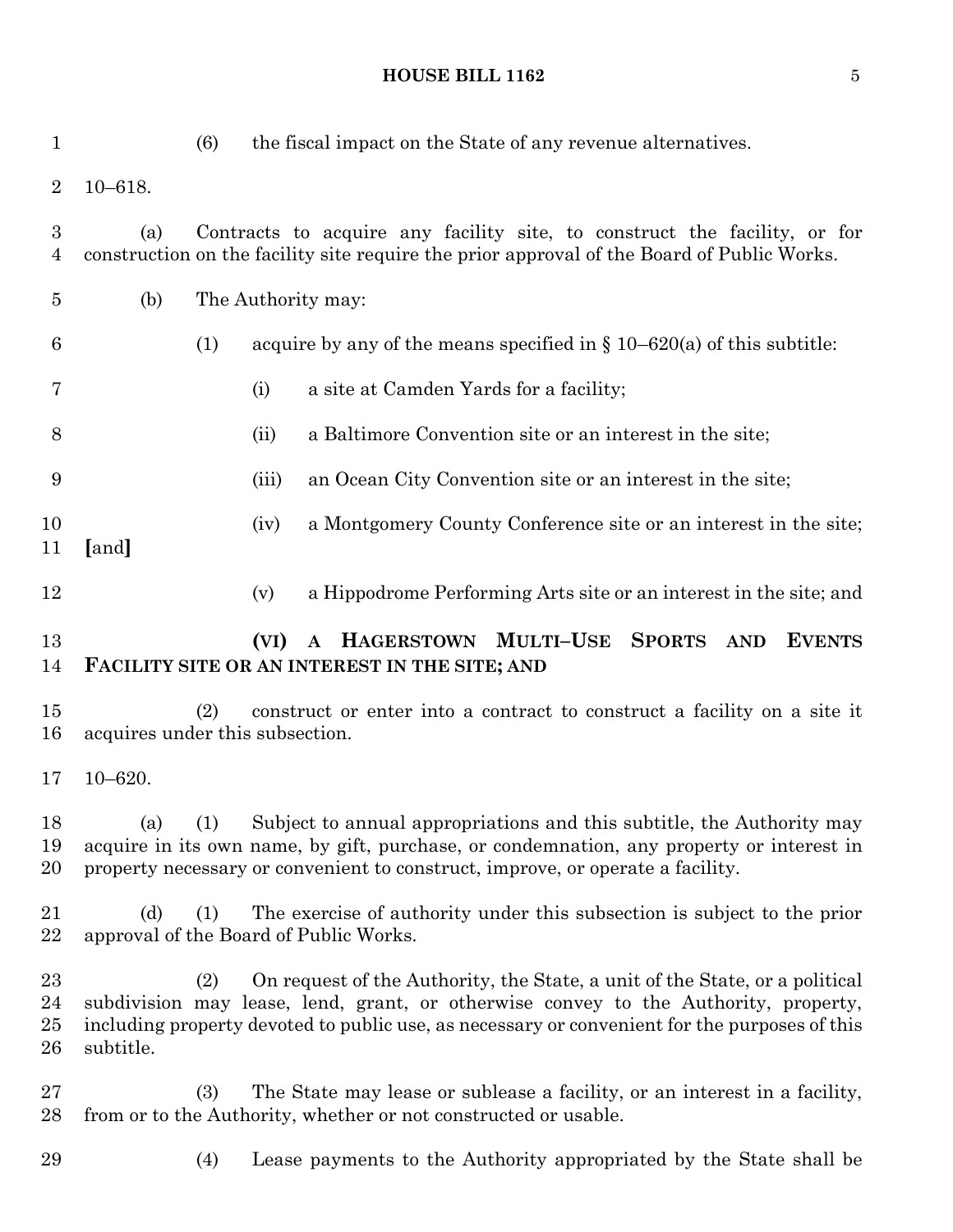**HOUSE BILL 1162** 5

| $\mathbf{1}$                       |                                                                                                                                                                                | (6) |       | the fiscal impact on the State of any revenue alternatives.                                                                                                                                                                                                         |  |  |  |  |
|------------------------------------|--------------------------------------------------------------------------------------------------------------------------------------------------------------------------------|-----|-------|---------------------------------------------------------------------------------------------------------------------------------------------------------------------------------------------------------------------------------------------------------------------|--|--|--|--|
| $\overline{2}$                     | $10 - 618.$                                                                                                                                                                    |     |       |                                                                                                                                                                                                                                                                     |  |  |  |  |
| $\boldsymbol{3}$<br>$\overline{4}$ | Contracts to acquire any facility site, to construct the facility, or for<br>(a)<br>construction on the facility site require the prior approval of the Board of Public Works. |     |       |                                                                                                                                                                                                                                                                     |  |  |  |  |
| $\overline{5}$                     | (b)<br>The Authority may:                                                                                                                                                      |     |       |                                                                                                                                                                                                                                                                     |  |  |  |  |
| 6                                  |                                                                                                                                                                                | (1) |       | acquire by any of the means specified in $\S 10-620(a)$ of this subtitle:                                                                                                                                                                                           |  |  |  |  |
| 7                                  |                                                                                                                                                                                |     | (i)   | a site at Camden Yards for a facility;                                                                                                                                                                                                                              |  |  |  |  |
| 8                                  |                                                                                                                                                                                |     | (ii)  | a Baltimore Convention site or an interest in the site;                                                                                                                                                                                                             |  |  |  |  |
| 9                                  |                                                                                                                                                                                |     | (iii) | an Ocean City Convention site or an interest in the site;                                                                                                                                                                                                           |  |  |  |  |
| 10<br>11                           | [and]                                                                                                                                                                          |     | (iv)  | a Montgomery County Conference site or an interest in the site;                                                                                                                                                                                                     |  |  |  |  |
| 12                                 |                                                                                                                                                                                |     | (v)   | a Hippodrome Performing Arts site or an interest in the site; and                                                                                                                                                                                                   |  |  |  |  |
| 13                                 |                                                                                                                                                                                |     | (VI)  | HAGERSTOWN MULTI-USE<br><b>SPORTS</b><br><b>EVENTS</b><br><b>AND</b><br>$\mathbf{A}$                                                                                                                                                                                |  |  |  |  |
| 14                                 |                                                                                                                                                                                |     |       | FACILITY SITE OR AN INTEREST IN THE SITE; AND                                                                                                                                                                                                                       |  |  |  |  |
| 15<br>16                           | acquires under this subsection.                                                                                                                                                | (2) |       | construct or enter into a contract to construct a facility on a site it                                                                                                                                                                                             |  |  |  |  |
| 17                                 | $10 - 620.$                                                                                                                                                                    |     |       |                                                                                                                                                                                                                                                                     |  |  |  |  |
| 18<br>19<br>20                     | (a)                                                                                                                                                                            | (1) |       | Subject to annual appropriations and this subtitle, the Authority may<br>acquire in its own name, by gift, purchase, or condemnation, any property or interest in<br>property necessary or convenient to construct, improve, or operate a facility.                 |  |  |  |  |
| 21<br>22                           | (d)                                                                                                                                                                            | (1) |       | The exercise of authority under this subsection is subject to the prior<br>approval of the Board of Public Works.                                                                                                                                                   |  |  |  |  |
| 23<br>24<br>25<br>26               | subtitle.                                                                                                                                                                      | (2) |       | On request of the Authority, the State, a unit of the State, or a political<br>subdivision may lease, lend, grant, or otherwise convey to the Authority, property,<br>including property devoted to public use, as necessary or convenient for the purposes of this |  |  |  |  |
| 27<br>28                           |                                                                                                                                                                                | (3) |       | The State may lease or sublease a facility, or an interest in a facility,<br>from or to the Authority, whether or not constructed or usable.                                                                                                                        |  |  |  |  |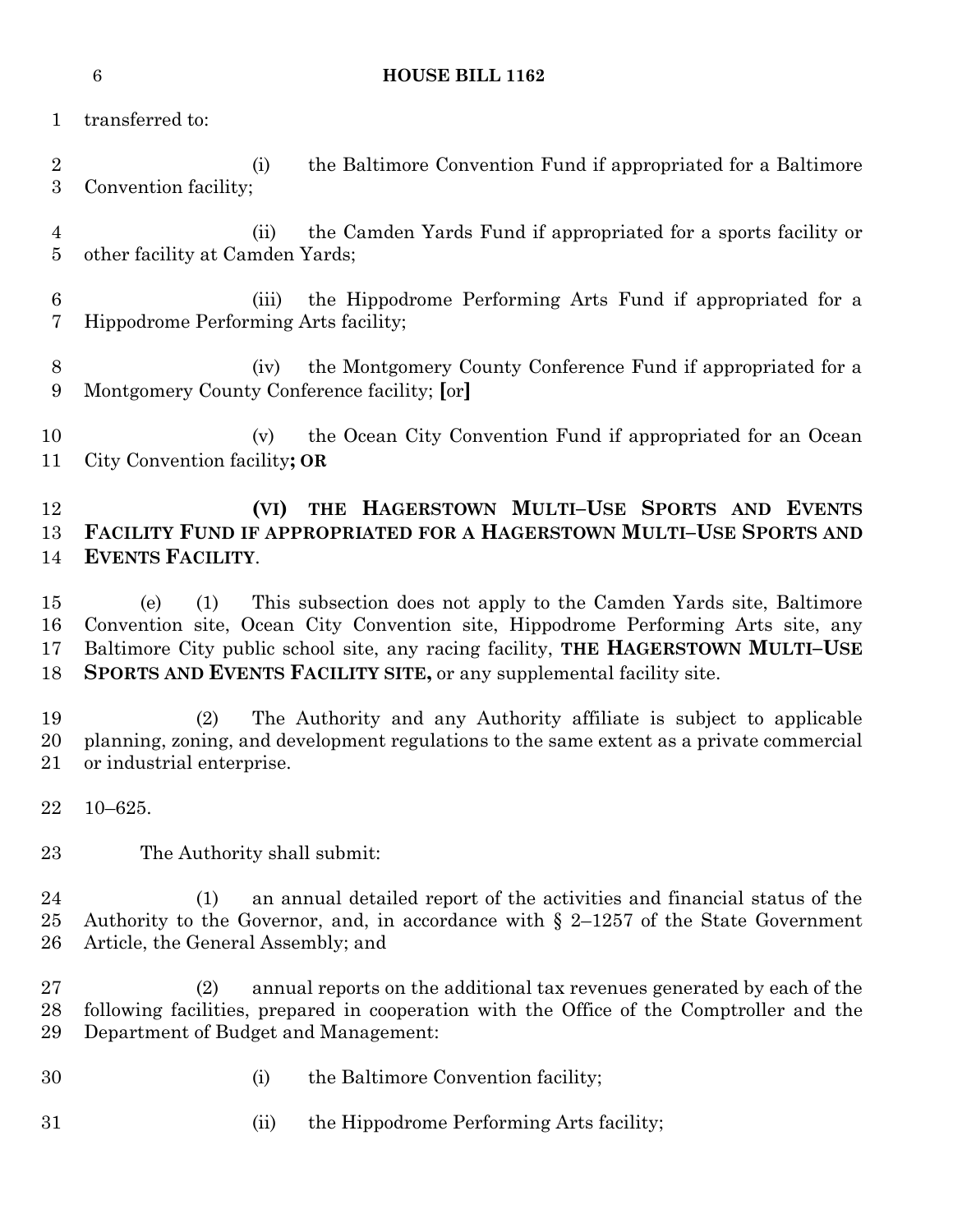| <b>HOUSE BILL 1162</b> |
|------------------------|
|                        |

transferred to:

 (i) the Baltimore Convention Fund if appropriated for a Baltimore Convention facility;

- (ii) the Camden Yards Fund if appropriated for a sports facility or other facility at Camden Yards;
- (iii) the Hippodrome Performing Arts Fund if appropriated for a Hippodrome Performing Arts facility;
- (iv) the Montgomery County Conference Fund if appropriated for a Montgomery County Conference facility; **[**or**]**
- 10 (v) the Ocean City Convention Fund if appropriated for an Ocean City Convention facility**; OR**

# **(VI) THE HAGERSTOWN MULTI–USE SPORTS AND EVENTS FACILITY FUND IF APPROPRIATED FOR A HAGERSTOWN MULTI–USE SPORTS AND EVENTS FACILITY**.

 (e) (1) This subsection does not apply to the Camden Yards site, Baltimore Convention site, Ocean City Convention site, Hippodrome Performing Arts site, any Baltimore City public school site, any racing facility, **THE HAGERSTOWN MULTI–USE SPORTS AND EVENTS FACILITY SITE,** or any supplemental facility site.

 (2) The Authority and any Authority affiliate is subject to applicable planning, zoning, and development regulations to the same extent as a private commercial or industrial enterprise.

- 10–625.
- The Authority shall submit:

 (1) an annual detailed report of the activities and financial status of the 25 Authority to the Governor, and, in accordance with  $\S$  2-1257 of the State Government Article, the General Assembly; and

 (2) annual reports on the additional tax revenues generated by each of the following facilities, prepared in cooperation with the Office of the Comptroller and the Department of Budget and Management:

- 
- (i) the Baltimore Convention facility;
- (ii) the Hippodrome Performing Arts facility;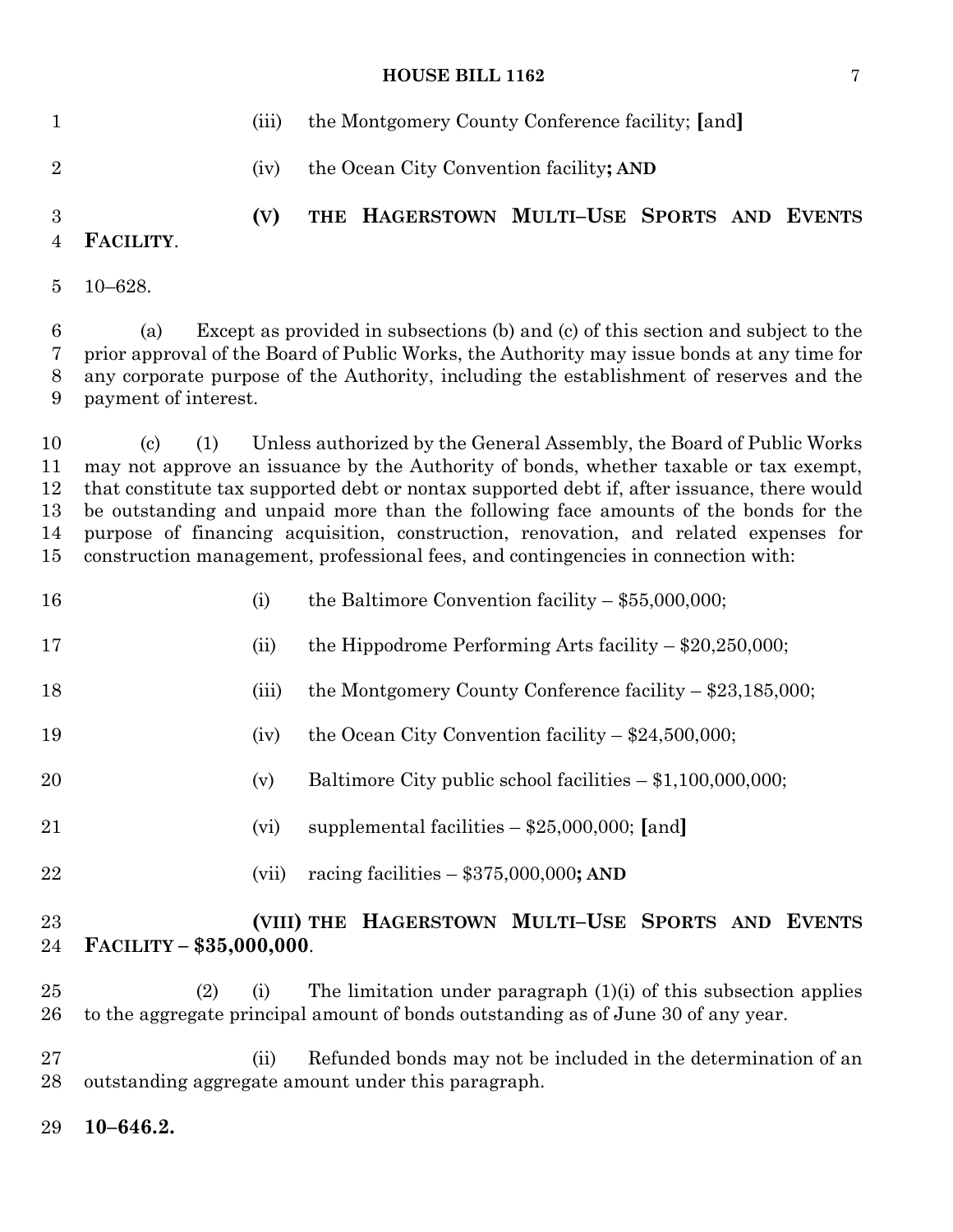# **HOUSE BILL 1162** 7

| $\mathbf{1}$                     |                                                                                                                                                                                                                                                                                                                                                                                                                                                                                                                                                | (iii) | the Montgomery County Conference facility; [and] |  |                                                                    |  |  |  |  |
|----------------------------------|------------------------------------------------------------------------------------------------------------------------------------------------------------------------------------------------------------------------------------------------------------------------------------------------------------------------------------------------------------------------------------------------------------------------------------------------------------------------------------------------------------------------------------------------|-------|--------------------------------------------------|--|--------------------------------------------------------------------|--|--|--|--|
| $\overline{2}$                   |                                                                                                                                                                                                                                                                                                                                                                                                                                                                                                                                                | (iv)  |                                                  |  | the Ocean City Convention facility; AND                            |  |  |  |  |
| 3<br>$\overline{4}$              | FACILITY.                                                                                                                                                                                                                                                                                                                                                                                                                                                                                                                                      | (V)   |                                                  |  | THE HAGERSTOWN MULTI-USE SPORTS AND EVENTS                         |  |  |  |  |
| $\overline{5}$                   | $10 - 628.$                                                                                                                                                                                                                                                                                                                                                                                                                                                                                                                                    |       |                                                  |  |                                                                    |  |  |  |  |
| 6<br>7<br>8<br>9                 | Except as provided in subsections (b) and (c) of this section and subject to the<br>(a)<br>prior approval of the Board of Public Works, the Authority may issue bonds at any time for<br>any corporate purpose of the Authority, including the establishment of reserves and the<br>payment of interest.                                                                                                                                                                                                                                       |       |                                                  |  |                                                                    |  |  |  |  |
| 10<br>11<br>12<br>13<br>14<br>15 | Unless authorized by the General Assembly, the Board of Public Works<br>(1)<br>(c)<br>may not approve an issuance by the Authority of bonds, whether taxable or tax exempt,<br>that constitute tax supported debt or nontax supported debt if, after issuance, there would<br>be outstanding and unpaid more than the following face amounts of the bonds for the<br>purpose of financing acquisition, construction, renovation, and related expenses for<br>construction management, professional fees, and contingencies in connection with: |       |                                                  |  |                                                                    |  |  |  |  |
| 16                               |                                                                                                                                                                                                                                                                                                                                                                                                                                                                                                                                                | (i)   |                                                  |  | the Baltimore Convention facility $-$ \$55,000,000;                |  |  |  |  |
| 17                               |                                                                                                                                                                                                                                                                                                                                                                                                                                                                                                                                                | (ii)  |                                                  |  | the Hippodrome Performing Arts facility $-$ \$20,250,000;          |  |  |  |  |
| 18                               |                                                                                                                                                                                                                                                                                                                                                                                                                                                                                                                                                | (iii) |                                                  |  | the Montgomery County Conference facility $-$ \$23,185,000;        |  |  |  |  |
| 19                               |                                                                                                                                                                                                                                                                                                                                                                                                                                                                                                                                                | (iv)  |                                                  |  | the Ocean City Convention facility $-$ \$24,500,000;               |  |  |  |  |
| 20                               |                                                                                                                                                                                                                                                                                                                                                                                                                                                                                                                                                | (v)   |                                                  |  | Baltimore City public school facilities $- $1,100,000,000;$        |  |  |  |  |
| 21                               |                                                                                                                                                                                                                                                                                                                                                                                                                                                                                                                                                | (vi)  |                                                  |  | supplemental facilities $-$ \$25,000,000; [and]                    |  |  |  |  |
| 22                               |                                                                                                                                                                                                                                                                                                                                                                                                                                                                                                                                                | (vii) |                                                  |  | racing facilities $-$ \$375,000,000; AND                           |  |  |  |  |
| $23\,$<br>24                     | FACILITY - \$35,000,000.                                                                                                                                                                                                                                                                                                                                                                                                                                                                                                                       |       |                                                  |  | (VIII) THE HAGERSTOWN MULTI-USE SPORTS AND EVENTS                  |  |  |  |  |
| 25<br>26                         | (2)<br>to the aggregate principal amount of bonds outstanding as of June 30 of any year.                                                                                                                                                                                                                                                                                                                                                                                                                                                       | (i)   |                                                  |  | The limitation under paragraph $(1)(i)$ of this subsection applies |  |  |  |  |
| $27\,$<br>28                     | outstanding aggregate amount under this paragraph.                                                                                                                                                                                                                                                                                                                                                                                                                                                                                             | (ii)  |                                                  |  | Refunded bonds may not be included in the determination of an      |  |  |  |  |

**10–646.2.**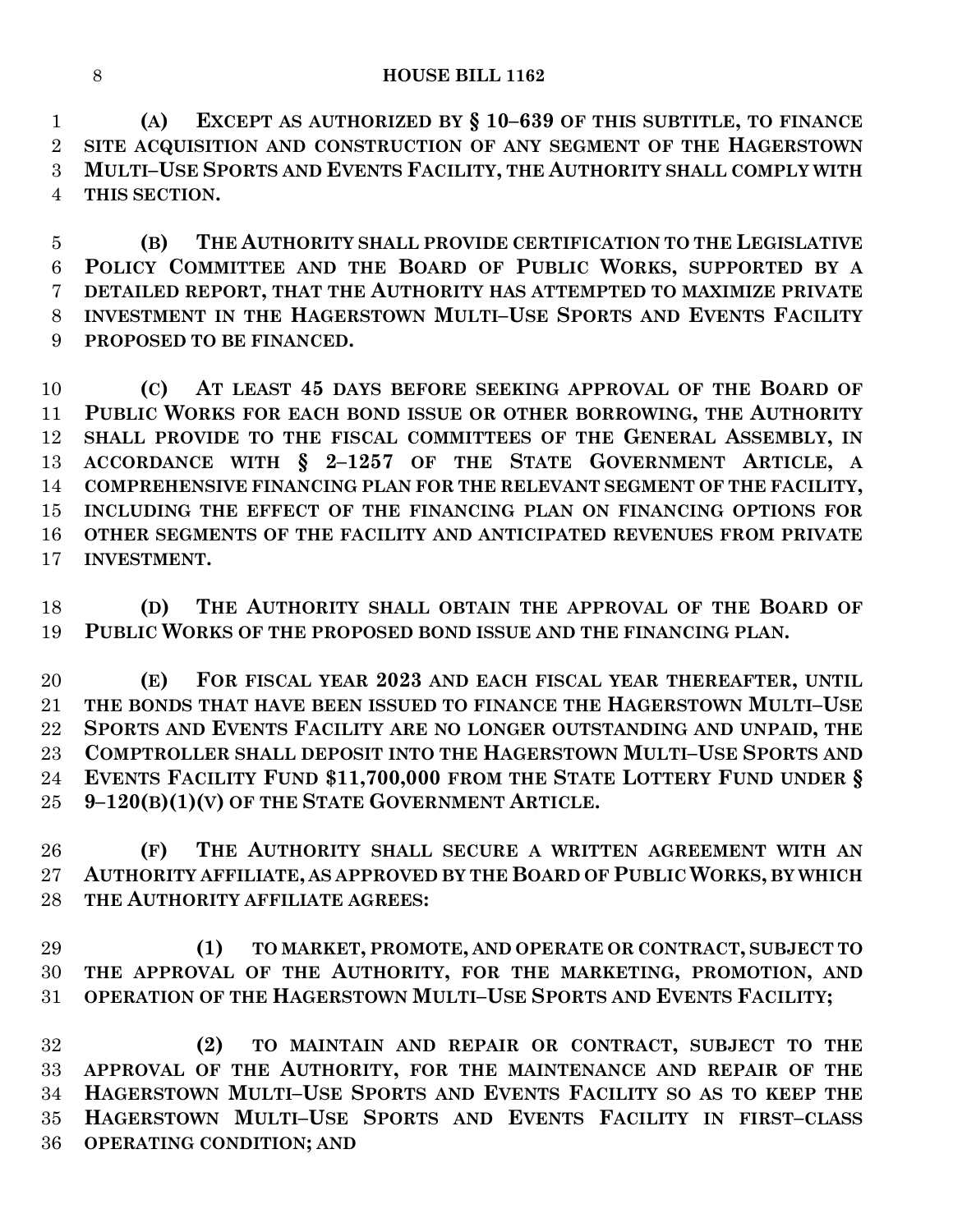**(A) EXCEPT AS AUTHORIZED BY § 10–639 OF THIS SUBTITLE, TO FINANCE SITE ACQUISITION AND CONSTRUCTION OF ANY SEGMENT OF THE HAGERSTOWN MULTI–USE SPORTS AND EVENTS FACILITY, THE AUTHORITY SHALL COMPLY WITH THIS SECTION.**

 **(B) THE AUTHORITY SHALL PROVIDE CERTIFICATION TO THE LEGISLATIVE POLICY COMMITTEE AND THE BOARD OF PUBLIC WORKS, SUPPORTED BY A DETAILED REPORT, THAT THE AUTHORITY HAS ATTEMPTED TO MAXIMIZE PRIVATE INVESTMENT IN THE HAGERSTOWN MULTI–USE SPORTS AND EVENTS FACILITY PROPOSED TO BE FINANCED.**

 **(C) AT LEAST 45 DAYS BEFORE SEEKING APPROVAL OF THE BOARD OF PUBLIC WORKS FOR EACH BOND ISSUE OR OTHER BORROWING, THE AUTHORITY SHALL PROVIDE TO THE FISCAL COMMITTEES OF THE GENERAL ASSEMBLY, IN ACCORDANCE WITH § 2–1257 OF THE STATE GOVERNMENT ARTICLE, A COMPREHENSIVE FINANCING PLAN FOR THE RELEVANT SEGMENT OF THE FACILITY, INCLUDING THE EFFECT OF THE FINANCING PLAN ON FINANCING OPTIONS FOR OTHER SEGMENTS OF THE FACILITY AND ANTICIPATED REVENUES FROM PRIVATE INVESTMENT.**

 **(D) THE AUTHORITY SHALL OBTAIN THE APPROVAL OF THE BOARD OF PUBLIC WORKS OF THE PROPOSED BOND ISSUE AND THE FINANCING PLAN.**

 **(E) FOR FISCAL YEAR 2023 AND EACH FISCAL YEAR THEREAFTER, UNTIL THE BONDS THAT HAVE BEEN ISSUED TO FINANCE THE HAGERSTOWN MULTI–USE SPORTS AND EVENTS FACILITY ARE NO LONGER OUTSTANDING AND UNPAID, THE COMPTROLLER SHALL DEPOSIT INTO THE HAGERSTOWN MULTI–USE SPORTS AND EVENTS FACILITY FUND \$11,700,000 FROM THE STATE LOTTERY FUND UNDER § 9–120(B)(1)(V) OF THE STATE GOVERNMENT ARTICLE.**

 **(F) THE AUTHORITY SHALL SECURE A WRITTEN AGREEMENT WITH AN AUTHORITY AFFILIATE, AS APPROVED BY THE BOARD OF PUBLIC WORKS, BY WHICH THE AUTHORITY AFFILIATE AGREES:**

 **(1) TO MARKET, PROMOTE, AND OPERATE OR CONTRACT, SUBJECT TO THE APPROVAL OF THE AUTHORITY, FOR THE MARKETING, PROMOTION, AND OPERATION OF THE HAGERSTOWN MULTI–USE SPORTS AND EVENTS FACILITY;**

 **(2) TO MAINTAIN AND REPAIR OR CONTRACT, SUBJECT TO THE APPROVAL OF THE AUTHORITY, FOR THE MAINTENANCE AND REPAIR OF THE HAGERSTOWN MULTI–USE SPORTS AND EVENTS FACILITY SO AS TO KEEP THE HAGERSTOWN MULTI–USE SPORTS AND EVENTS FACILITY IN FIRST–CLASS OPERATING CONDITION; AND**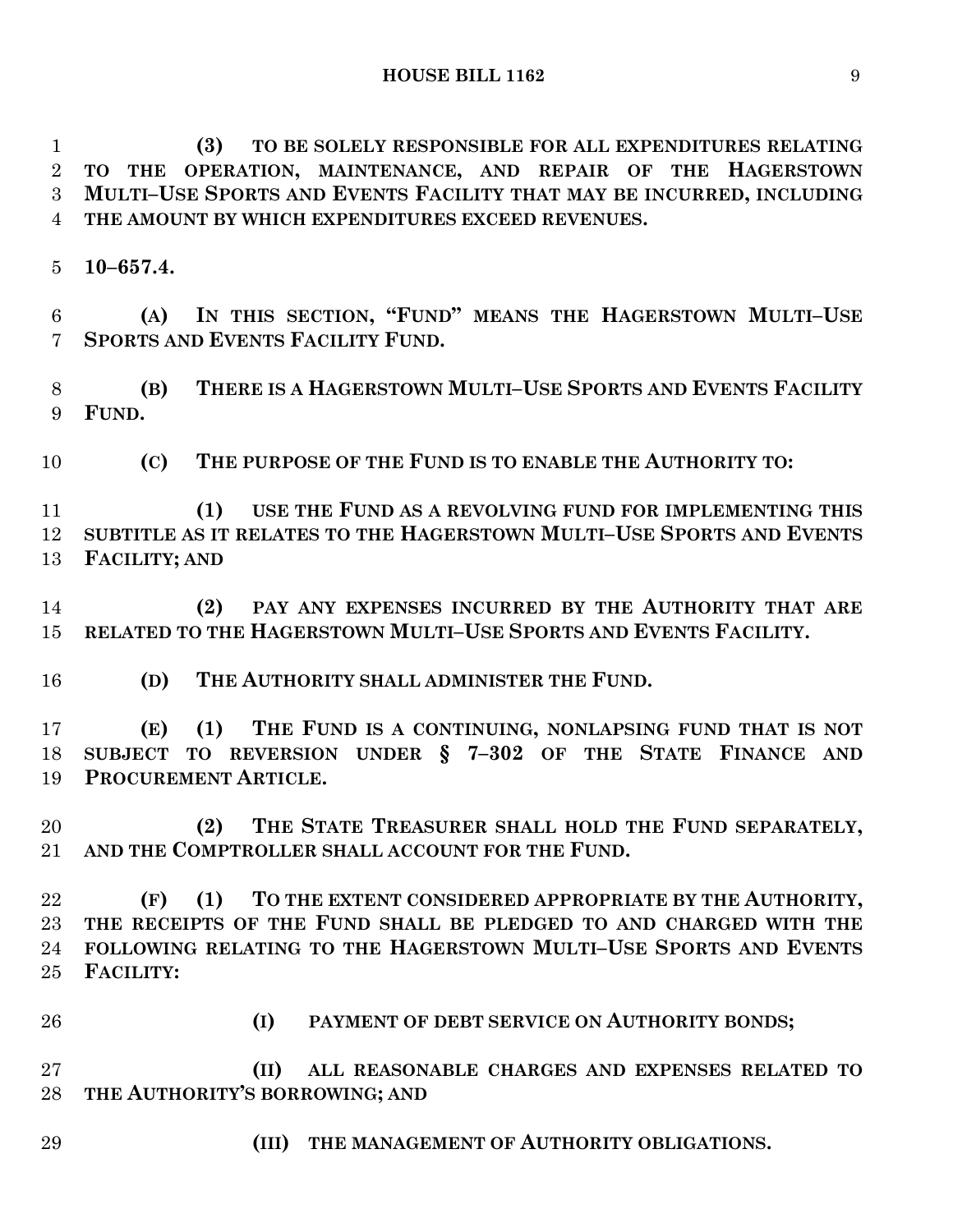**(3) TO BE SOLELY RESPONSIBLE FOR ALL EXPENDITURES RELATING TO THE OPERATION, MAINTENANCE, AND REPAIR OF THE HAGERSTOWN MULTI–USE SPORTS AND EVENTS FACILITY THAT MAY BE INCURRED, INCLUDING THE AMOUNT BY WHICH EXPENDITURES EXCEED REVENUES.**

**10–657.4.**

 **(A) IN THIS SECTION, "FUND" MEANS THE HAGERSTOWN MULTI–USE SPORTS AND EVENTS FACILITY FUND.**

 **(B) THERE IS A HAGERSTOWN MULTI–USE SPORTS AND EVENTS FACILITY FUND.**

**(C) THE PURPOSE OF THE FUND IS TO ENABLE THE AUTHORITY TO:**

 **(1) USE THE FUND AS A REVOLVING FUND FOR IMPLEMENTING THIS SUBTITLE AS IT RELATES TO THE HAGERSTOWN MULTI–USE SPORTS AND EVENTS FACILITY; AND**

 **(2) PAY ANY EXPENSES INCURRED BY THE AUTHORITY THAT ARE RELATED TO THE HAGERSTOWN MULTI–USE SPORTS AND EVENTS FACILITY.**

**(D) THE AUTHORITY SHALL ADMINISTER THE FUND.**

 **(E) (1) THE FUND IS A CONTINUING, NONLAPSING FUND THAT IS NOT SUBJECT TO REVERSION UNDER § 7–302 OF THE STATE FINANCE AND PROCUREMENT ARTICLE.**

 **(2) THE STATE TREASURER SHALL HOLD THE FUND SEPARATELY, AND THE COMPTROLLER SHALL ACCOUNT FOR THE FUND.**

 **(F) (1) TO THE EXTENT CONSIDERED APPROPRIATE BY THE AUTHORITY, THE RECEIPTS OF THE FUND SHALL BE PLEDGED TO AND CHARGED WITH THE FOLLOWING RELATING TO THE HAGERSTOWN MULTI–USE SPORTS AND EVENTS FACILITY:**

**(I) PAYMENT OF DEBT SERVICE ON AUTHORITY BONDS;**

 **(II) ALL REASONABLE CHARGES AND EXPENSES RELATED TO THE AUTHORITY'S BORROWING; AND**

**(III) THE MANAGEMENT OF AUTHORITY OBLIGATIONS.**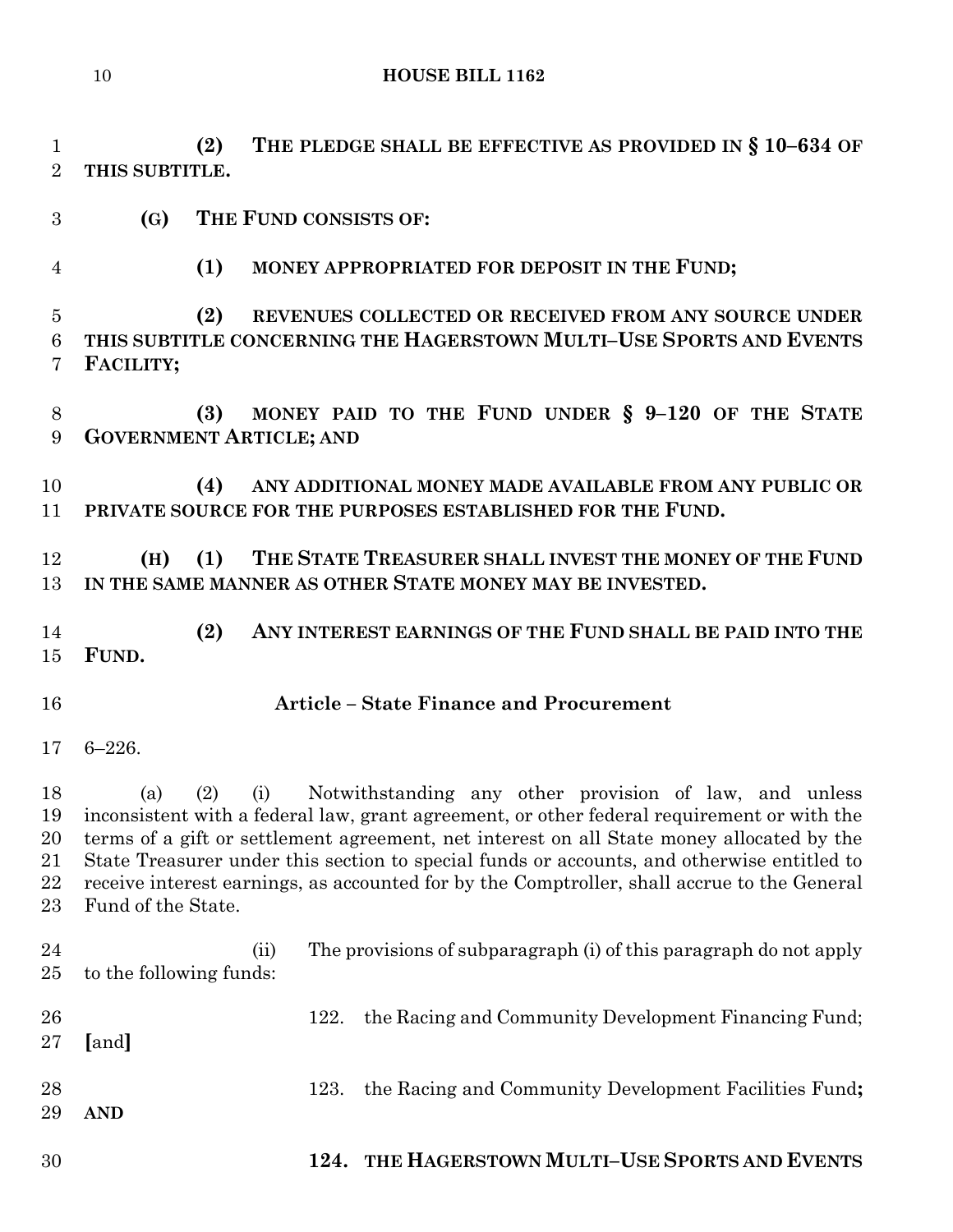**(2) THE PLEDGE SHALL BE EFFECTIVE AS PROVIDED IN § 10–634 OF THIS SUBTITLE.**

- **(G) THE FUND CONSISTS OF:**
- 

**(1) MONEY APPROPRIATED FOR DEPOSIT IN THE FUND;**

 **(2) REVENUES COLLECTED OR RECEIVED FROM ANY SOURCE UNDER THIS SUBTITLE CONCERNING THE HAGERSTOWN MULTI–USE SPORTS AND EVENTS FACILITY;**

 **(3) MONEY PAID TO THE FUND UNDER § 9–120 OF THE STATE GOVERNMENT ARTICLE; AND**

 **(4) ANY ADDITIONAL MONEY MADE AVAILABLE FROM ANY PUBLIC OR PRIVATE SOURCE FOR THE PURPOSES ESTABLISHED FOR THE FUND.**

 **(H) (1) THE STATE TREASURER SHALL INVEST THE MONEY OF THE FUND IN THE SAME MANNER AS OTHER STATE MONEY MAY BE INVESTED.**

 **(2) ANY INTEREST EARNINGS OF THE FUND SHALL BE PAID INTO THE FUND.**

- **Article – State Finance and Procurement**
- 6–226.

 (a) (2) (i) Notwithstanding any other provision of law, and unless inconsistent with a federal law, grant agreement, or other federal requirement or with the terms of a gift or settlement agreement, net interest on all State money allocated by the State Treasurer under this section to special funds or accounts, and otherwise entitled to receive interest earnings, as accounted for by the Comptroller, shall accrue to the General Fund of the State.

 (ii) The provisions of subparagraph (i) of this paragraph do not apply to the following funds: 26 122. the Racing and Community Development Financing Fund; **[**and**]** 123. the Racing and Community Development Facilities Fund**; AND**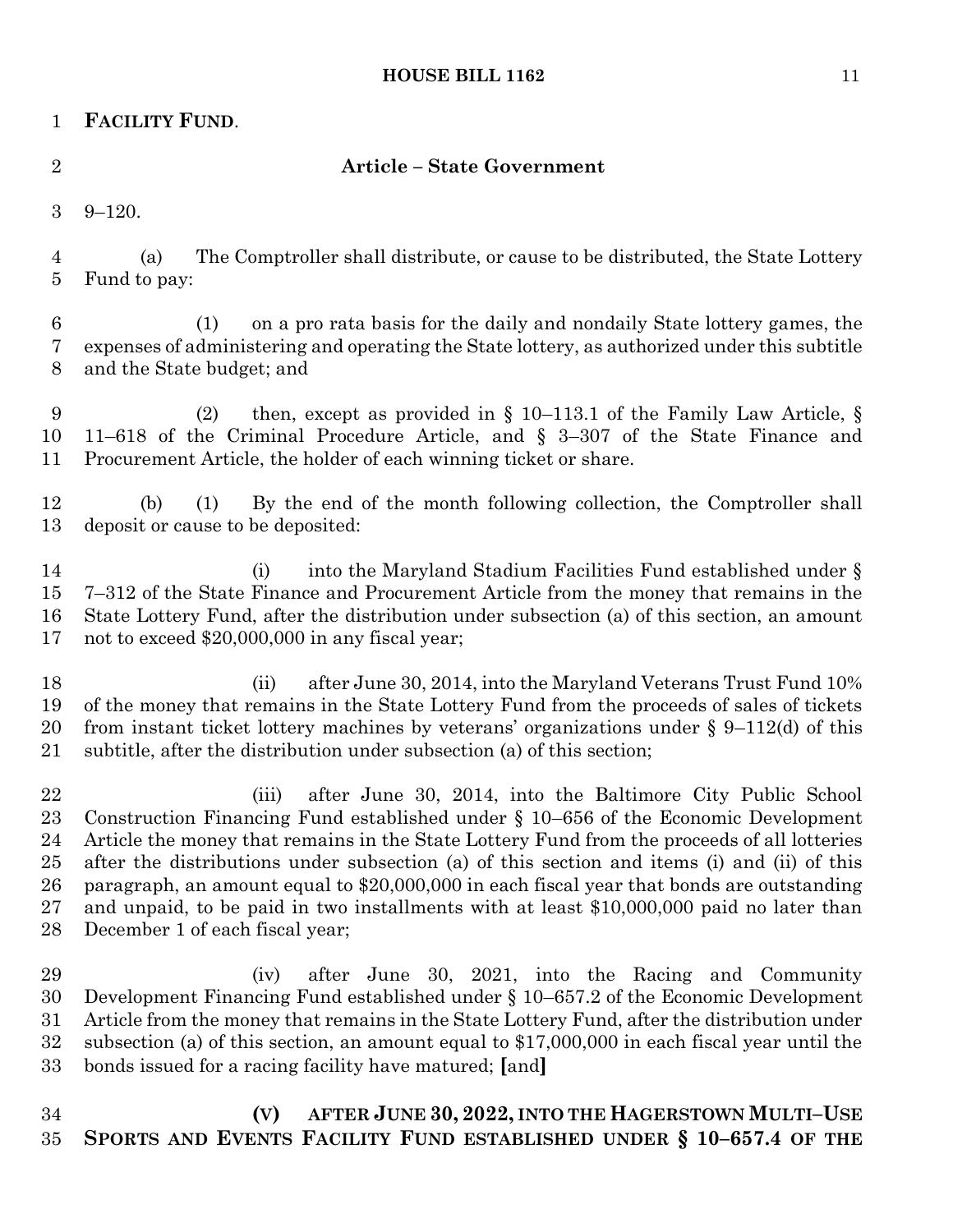# **FACILITY FUND**.

### **Article – State Government**

9–120.

 (a) The Comptroller shall distribute, or cause to be distributed, the State Lottery Fund to pay:

 (1) on a pro rata basis for the daily and nondaily State lottery games, the expenses of administering and operating the State lottery, as authorized under this subtitle and the State budget; and

 (2) then, except as provided in § 10–113.1 of the Family Law Article, § 11–618 of the Criminal Procedure Article, and § 3–307 of the State Finance and Procurement Article, the holder of each winning ticket or share.

 (b) (1) By the end of the month following collection, the Comptroller shall deposit or cause to be deposited:

14 (i) into the Maryland Stadium Facilities Fund established under § 7–312 of the State Finance and Procurement Article from the money that remains in the State Lottery Fund, after the distribution under subsection (a) of this section, an amount not to exceed \$20,000,000 in any fiscal year;

18 (ii) after June 30, 2014, into the Maryland Veterans Trust Fund 10% of the money that remains in the State Lottery Fund from the proceeds of sales of tickets 20 from instant ticket lottery machines by veterans' organizations under  $\S$  9–112(d) of this subtitle, after the distribution under subsection (a) of this section;

 (iii) after June 30, 2014, into the Baltimore City Public School Construction Financing Fund established under § 10–656 of the Economic Development Article the money that remains in the State Lottery Fund from the proceeds of all lotteries after the distributions under subsection (a) of this section and items (i) and (ii) of this paragraph, an amount equal to \$20,000,000 in each fiscal year that bonds are outstanding and unpaid, to be paid in two installments with at least \$10,000,000 paid no later than December 1 of each fiscal year;

 (iv) after June 30, 2021, into the Racing and Community Development Financing Fund established under § 10–657.2 of the Economic Development Article from the money that remains in the State Lottery Fund, after the distribution under subsection (a) of this section, an amount equal to \$17,000,000 in each fiscal year until the bonds issued for a racing facility have matured; **[**and**]**

 **(V) AFTER JUNE 30, 2022, INTO THE HAGERSTOWN MULTI–USE SPORTS AND EVENTS FACILITY FUND ESTABLISHED UNDER § 10–657.4 OF THE**